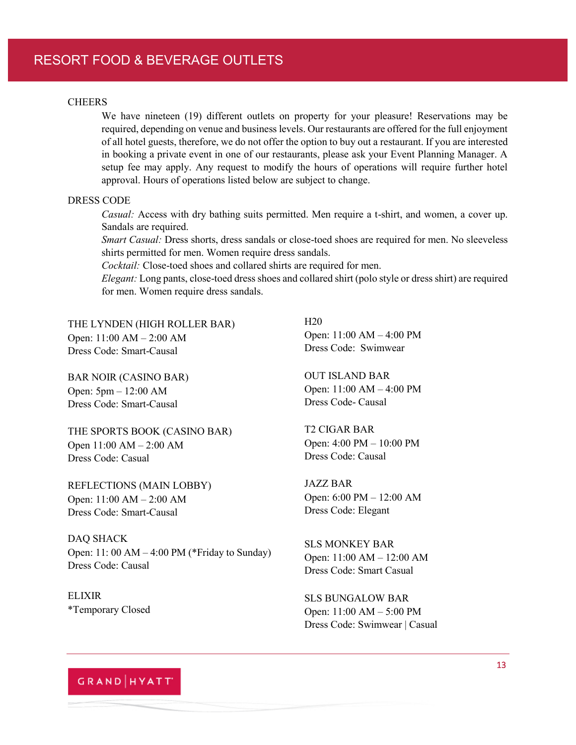### RESORT FOOD & BEVERAGE OUTLETS

#### **CHEERS**

We have nineteen (19) different outlets on property for your pleasure! Reservations may be required, depending on venue and business levels. Our restaurants are offered for the full enjoyment of all hotel guests, therefore, we do not offer the option to buy out a restaurant. If you are interested in booking a private event in one of our restaurants, please ask your Event Planning Manager. A setup fee may apply. Any request to modify the hours of operations will require further hotel approval. Hours of operations listed below are subject to change.

#### DRESS CODE

*Casual:* Access with dry bathing suits permitted. Men require a t-shirt, and women, a cover up. Sandals are required.

*Smart Casual:* Dress shorts, dress sandals or close-toed shoes are required for men. No sleeveless shirts permitted for men. Women require dress sandals.

*Cocktail:* Close-toed shoes and collared shirts are required for men.

*Elegant:* Long pants, close-toed dress shoes and collared shirt (polo style or dress shirt) are required for men. Women require dress sandals.

THE LYNDEN (HIGH ROLLER BAR) Open:  $11:00 AM - 2:00 AM$ Dress Code: Smart-Causal

BAR NOIR (CASINO BAR) Open:  $5pm - 12:00$  AM Dress Code: Smart-Causal

THE SPORTS BOOK (CASINO BAR) Open  $11:00$  AM  $- 2:00$  AM Dress Code: Casual

REFLECTIONS (MAIN LOBBY) Open:  $11:00 AM - 2:00 AM$ Dress Code: Smart-Causal

DAQ SHACK Open: 11: 00 AM  $-$  4:00 PM (\*Friday to Sunday) Dress Code: Causal

ELIXIR \*Temporary Closed H20 Open:  $11:00$  AM  $- 4:00$  PM Dress Code: Swimwear

OUT ISLAND BAR Open:  $11:00$  AM  $- 4:00$  PM Dress Code- Causal

T2 CIGAR BAR Open:  $4:00 \text{ PM} - 10:00 \text{ PM}$ Dress Code: Causal

JAZZ BAR Open:  $6:00 \text{ PM} - 12:00 \text{ AM}$ Dress Code: Elegant

SLS MONKEY BAR Open:  $11:00$  AM  $- 12:00$  AM Dress Code: Smart Casual

SLS BUNGALOW BAR Open:  $11:00 \text{ AM} - 5:00 \text{ PM}$ Dress Code: Swimwear | Casual

# GRAND HYATT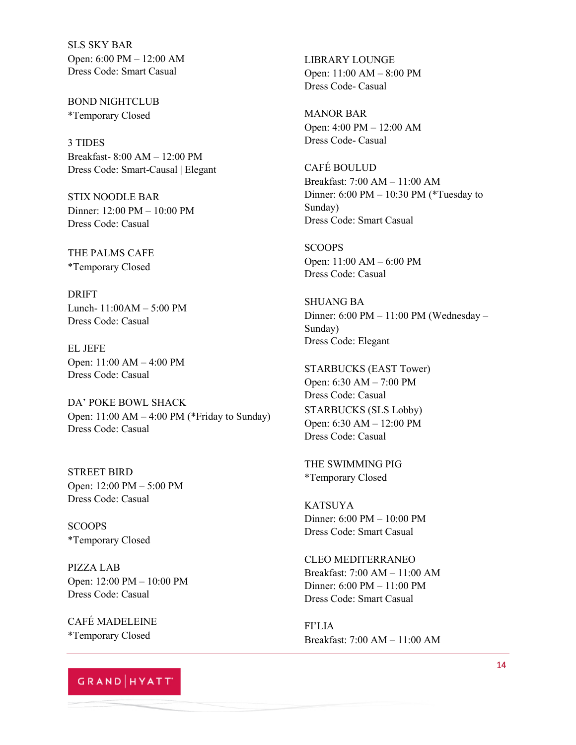SLS SKY BAR Open:  $6:00 \text{ PM} - 12:00 \text{ AM}$ Dress Code: Smart Casual

BOND NIGHTCLUB \*Temporary Closed

3 TIDES Breakfast- $8:00$  AM  $-12:00$  PM Dress Code: Smart-Causal | Elegant

STIX NOODLE BAR Dinner:  $12:00 \text{ PM} - 10:00 \text{ PM}$ Dress Code: Casual

THE PALMS CAFE \*Temporary Closed

DRIFT Lunch-  $11:00AM - 5:00 PM$ Dress Code: Casual

EL JEFE Open:  $11:00$  AM  $- 4:00$  PM Dress Code: Casual

DA' POKE BOWL SHACK Open:  $11:00$  AM  $-4:00$  PM (\*Friday to Sunday) Dress Code: Casual

STREET BIRD Open:  $12:00 \text{ PM} - 5:00 \text{ PM}$ Dress Code: Casual

SCOOPS \*Temporary Closed

PIZZA LAB Open:  $12:00 \text{ PM} - 10:00 \text{ PM}$ Dress Code: Casual

CAFÉ MADELEINE \*Temporary Closed

## GRAND | HYATT'

LIBRARY LOUNGE Open:  $11:00$  AM  $- 8:00$  PM Dress Code- Casual

MANOR BAR Open:  $4:00 \text{ PM} - 12:00 \text{ AM}$ Dress Code- Casual

CAFÉ BOULUD Breakfast:  $7:00$  AM  $- 11:00$  AM Dinner:  $6:00 \text{ PM} - 10:30 \text{ PM}$  (\*Tuesday to Sunday) Dress Code: Smart Casual

**SCOOPS** Open:  $11:00$  AM  $- 6:00$  PM Dress Code: Casual

SHUANG BA Dinner:  $6:00 \text{ PM} - 11:00 \text{ PM}$  (Wednesday – Sunday) Dress Code: Elegant

STARBUCKS (EAST Tower) Open:  $6:30$  AM  $- 7:00$  PM Dress Code: Casual STARBUCKS (SLS Lobby) Open: 6:30 AM - 12:00 PM Dress Code: Casual

THE SWIMMING PIG \*Temporary Closed

KATSUYA Dinner: 6:00 PM - 10:00 PM Dress Code: Smart Casual

CLEO MEDITERRANEO Breakfast: 7:00 AM - 11:00 AM Dinner:  $6:00 \text{ PM} - 11:00 \text{ PM}$ Dress Code: Smart Casual

FI'LIA Breakfast: 7:00 AM  $-$  11:00 AM  $\,$